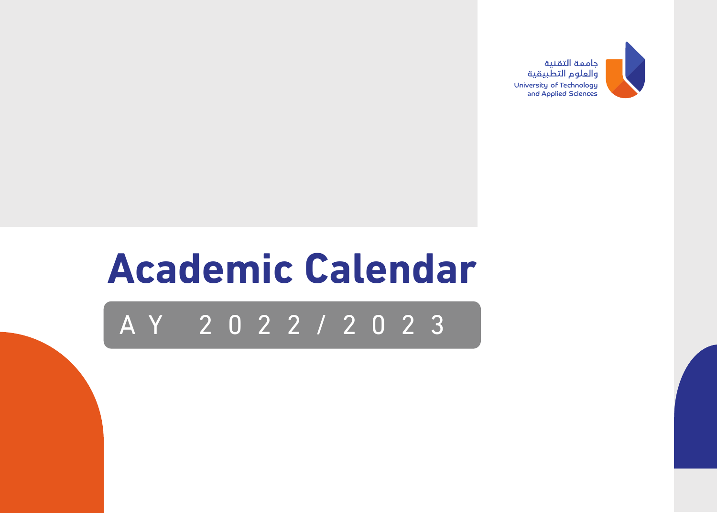

## **Academic Calendar**

## AY 2022/2023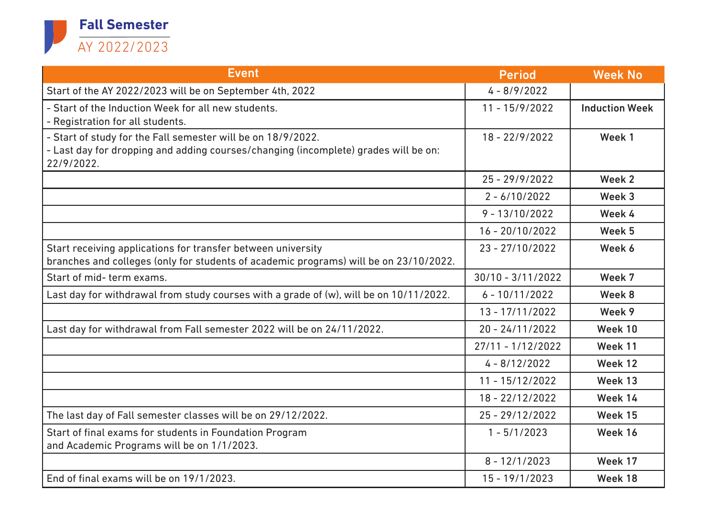

| <b>Event</b>                                                                                                                                                      | <b>Period</b>       | <b>Week No</b>        |
|-------------------------------------------------------------------------------------------------------------------------------------------------------------------|---------------------|-----------------------|
| Start of the AY 2022/2023 will be on September 4th, 2022                                                                                                          | $4 - 8/9/2022$      |                       |
| - Start of the Induction Week for all new students.<br>- Registration for all students.                                                                           | $11 - 15/9/2022$    | <b>Induction Week</b> |
| - Start of study for the Fall semester will be on 18/9/2022.<br>- Last day for dropping and adding courses/changing (incomplete) grades will be on:<br>22/9/2022. | 18 - 22/9/2022      | Week 1                |
|                                                                                                                                                                   | $25 - 29/9/2022$    | Week 2                |
|                                                                                                                                                                   | $2 - 6/10/2022$     | Week 3                |
|                                                                                                                                                                   | $9 - 13/10/2022$    | Week 4                |
|                                                                                                                                                                   | $16 - 20/10/2022$   | Week 5                |
| Start receiving applications for transfer between university<br>branches and colleges (only for students of academic programs) will be on 23/10/2022.             | $23 - 27/10/2022$   | Week 6                |
| Start of mid-term exams.                                                                                                                                          | $30/10 - 3/11/2022$ | Week 7                |
| Last day for withdrawal from study courses with a grade of (w), will be on 10/11/2022.                                                                            | $6 - 10/11/2022$    | Week 8                |
|                                                                                                                                                                   | $13 - 17/11/2022$   | Week 9                |
| Last day for withdrawal from Fall semester 2022 will be on 24/11/2022.                                                                                            | $20 - 24/11/2022$   | Week 10               |
|                                                                                                                                                                   | $27/11 - 1/12/2022$ | Week 11               |
|                                                                                                                                                                   | $4 - 8/12/2022$     | Week 12               |
|                                                                                                                                                                   | $11 - 15/12/2022$   | Week 13               |
|                                                                                                                                                                   | 18 - 22/12/2022     | Week 14               |
| The last day of Fall semester classes will be on 29/12/2022.                                                                                                      | $25 - 29/12/2022$   | Week 15               |
| Start of final exams for students in Foundation Program<br>and Academic Programs will be on 1/1/2023.                                                             | $1 - 5/1/2023$      | Week 16               |
|                                                                                                                                                                   | $8 - 12/1/2023$     | Week 17               |
| End of final exams will be on 19/1/2023.                                                                                                                          | $15 - 19/1/2023$    | Week 18               |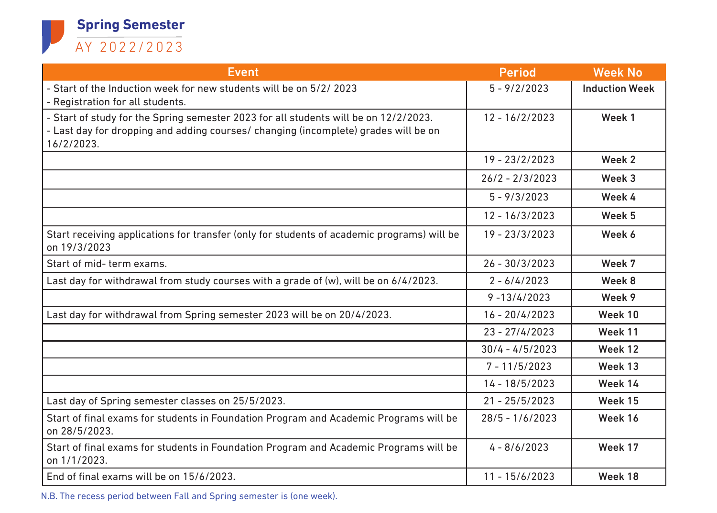

| <b>Event</b>                                                                                                                                                                              | <b>Period</b>     | <b>Week No</b>        |
|-------------------------------------------------------------------------------------------------------------------------------------------------------------------------------------------|-------------------|-----------------------|
| - Start of the Induction week for new students will be on 5/2/2023<br>- Registration for all students.                                                                                    | $5 - 9/2/2023$    | <b>Induction Week</b> |
| - Start of study for the Spring semester 2023 for all students will be on 12/2/2023.<br>- Last day for dropping and adding courses/ changing (incomplete) grades will be on<br>16/2/2023. | $12 - 16/2/2023$  | Week 1                |
|                                                                                                                                                                                           | $19 - 23/2/2023$  | Week 2                |
|                                                                                                                                                                                           | $26/2 - 2/3/2023$ | Week 3                |
|                                                                                                                                                                                           | $5 - 9/3/2023$    | Week 4                |
|                                                                                                                                                                                           | $12 - 16/3/2023$  | Week 5                |
| Start receiving applications for transfer (only for students of academic programs) will be<br>on 19/3/2023                                                                                | $19 - 23/3/2023$  | Week 6                |
| Start of mid-term exams.                                                                                                                                                                  | $26 - 30/3/2023$  | Week 7                |
| Last day for withdrawal from study courses with a grade of (w), will be on 6/4/2023.                                                                                                      | $2 - 6/4/2023$    | Week 8                |
|                                                                                                                                                                                           | $9 - 13/4/2023$   | Week 9                |
| Last day for withdrawal from Spring semester 2023 will be on 20/4/2023.                                                                                                                   | $16 - 20/4/2023$  | Week 10               |
|                                                                                                                                                                                           | $23 - 27/4/2023$  | Week 11               |
|                                                                                                                                                                                           | $30/4 - 4/5/2023$ | Week 12               |
|                                                                                                                                                                                           | $7 - 11/5/2023$   | Week 13               |
|                                                                                                                                                                                           | $14 - 18/5/2023$  | Week 14               |
| Last day of Spring semester classes on 25/5/2023.                                                                                                                                         | $21 - 25/5/2023$  | Week 15               |
| Start of final exams for students in Foundation Program and Academic Programs will be<br>on 28/5/2023.                                                                                    | $28/5 - 1/6/2023$ | Week 16               |
| Start of final exams for students in Foundation Program and Academic Programs will be<br>on 1/1/2023.                                                                                     | $4 - 8/6/2023$    | Week 17               |
| End of final exams will be on 15/6/2023.                                                                                                                                                  | $11 - 15/6/2023$  | Week 18               |

N.B. The recess period between Fall and Spring semester is (one week).